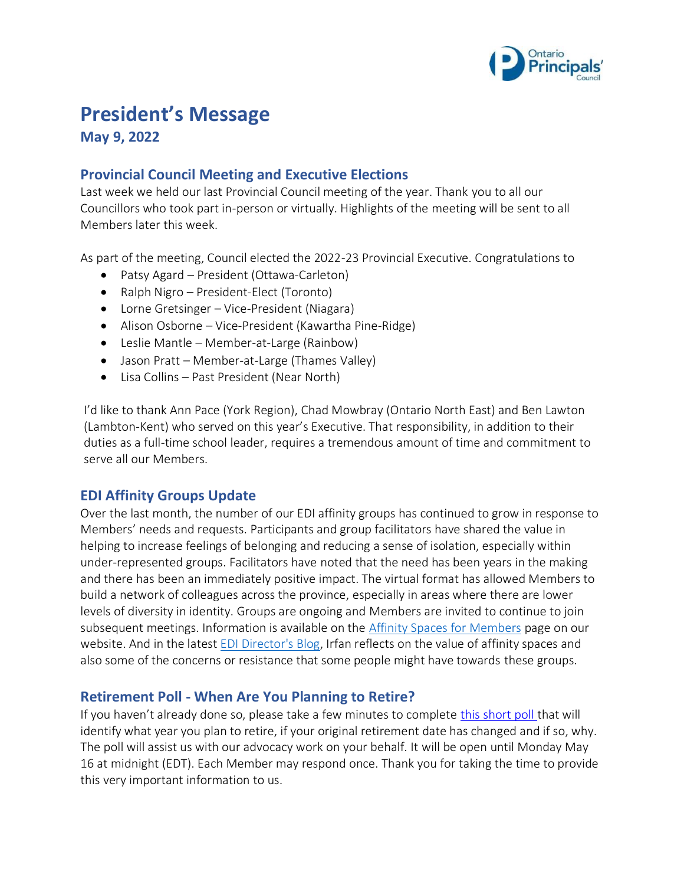

# **President's Message**

**May 9, 2022**

## **Provincial Council Meeting and Executive Elections**

Last week we held our last Provincial Council meeting of the year. Thank you to all our Councillors who took part in-person or virtually. Highlights of the meeting will be sent to all Members later this week.

As part of the meeting, Council elected the 2022-23 Provincial Executive. Congratulations to

- Patsy Agard President (Ottawa-Carleton)
- Ralph Nigro President-Elect (Toronto)
- Lorne Gretsinger Vice-President (Niagara)
- Alison Osborne Vice-President (Kawartha Pine-Ridge)
- Leslie Mantle Member-at-Large (Rainbow)
- Jason Pratt Member-at-Large (Thames Valley)
- Lisa Collins Past President (Near North)

I'd like to thank Ann Pace (York Region), Chad Mowbray (Ontario North East) and Ben Lawton (Lambton-Kent) who served on this year's Executive. That responsibility, in addition to their duties as a full-time school leader, requires a tremendous amount of time and commitment to serve all our Members.

## **EDI Affinity Groups Update**

Over the last month, the number of our EDI affinity groups has continued to grow in response to Members' needs and requests. Participants and group facilitators have shared the value in helping to increase feelings of belonging and reducing a sense of isolation, especially within under-represented groups. Facilitators have noted that the need has been years in the making and there has been an immediately positive impact. The virtual format has allowed Members to build a network of colleagues across the province, especially in areas where there are lower levels of diversity in identity. Groups are ongoing and Members are invited to continue to join subsequent meetings. Information is available on the [Affinity Spaces for Members](https://www.principals.ca/en/who-we-are/affinity-members.aspx) page on our website. And in the latest [EDI Director's Blog,](https://www.principals.ca/en/who-we-are/blog-affinity-spaces.aspx) Irfan reflects on the value of affinity spaces and also some of the concerns or resistance that some people might have towards these groups.

#### **Retirement Poll - When Are You Planning to Retire?**

If you haven't already done so, please take a few minutes to complete [this short poll](https://www.surveymonkey.com/r/2H2WPPT) that will identify what year you plan to retire, if your original retirement date has changed and if so, why. The poll will assist us with our advocacy work on your behalf. It will be open until Monday May 16 at midnight (EDT). Each Member may respond once. Thank you for taking the time to provide this very important information to us.